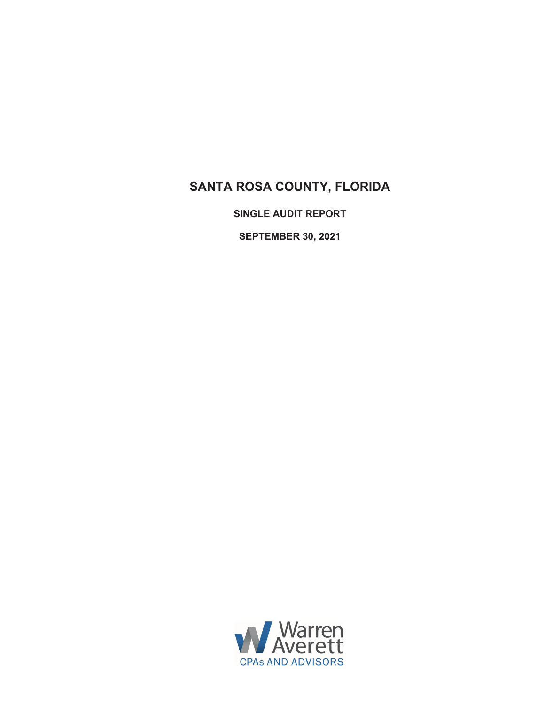# **SANTA ROSA COUNTY, FLORIDA**

**SINGLE AUDIT REPORT** 

**SEPTEMBER 30, 2021**

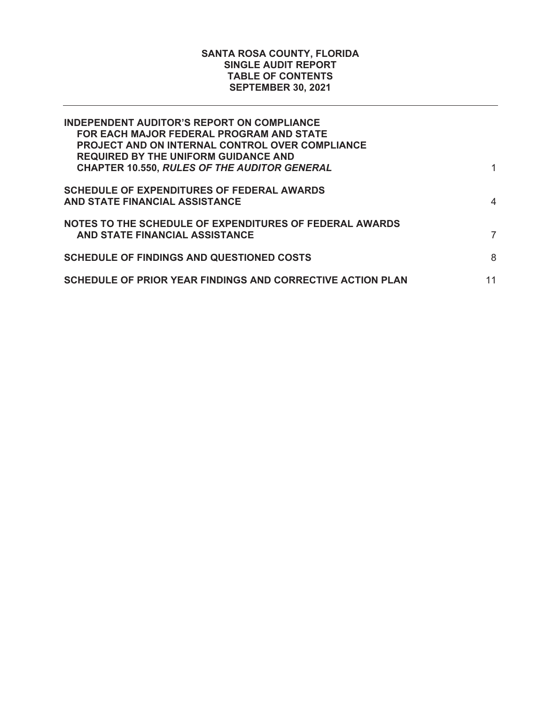## **SANTA ROSA COUNTY, FLORIDA SINGLE AUDIT REPORT TABLE OF CONTENTS SEPTEMBER 30, 2021**

| <b>INDEPENDENT AUDITOR'S REPORT ON COMPLIANCE</b><br>FOR EACH MAJOR FEDERAL PROGRAM AND STATE<br>PROJECT AND ON INTERNAL CONTROL OVER COMPLIANCE<br><b>REQUIRED BY THE UNIFORM GUIDANCE AND</b><br><b>CHAPTER 10.550, RULES OF THE AUDITOR GENERAL</b> |                |
|--------------------------------------------------------------------------------------------------------------------------------------------------------------------------------------------------------------------------------------------------------|----------------|
| <b>SCHEDULE OF EXPENDITURES OF FEDERAL AWARDS</b><br>AND STATE FINANCIAL ASSISTANCE                                                                                                                                                                    | 4              |
| NOTES TO THE SCHEDULE OF EXPENDITURES OF FEDERAL AWARDS<br>AND STATE FINANCIAL ASSISTANCE                                                                                                                                                              | $\overline{7}$ |
| <b>SCHEDULE OF FINDINGS AND QUESTIONED COSTS</b>                                                                                                                                                                                                       | 8              |
| SCHEDULE OF PRIOR YEAR FINDINGS AND CORRECTIVE ACTION PLAN                                                                                                                                                                                             | 11             |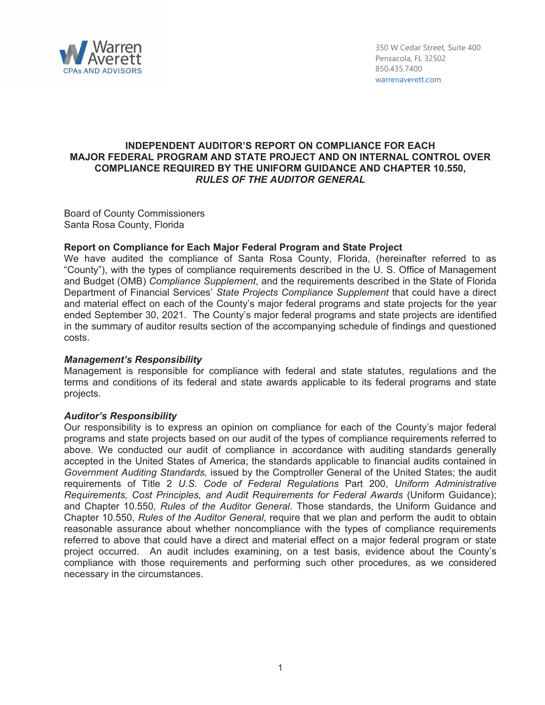

350 W Cedar Street, Suite 400 Pensacola, FL 32502 850.435.7400 warrenaverett.com

#### **INDEPENDENT AUDITOR'S REPORT ON COMPLIANCE FOR EACH MAJOR FEDERAL PROGRAM AND STATE PROJECT AND ON INTERNAL CONTROL OVER COMPLIANCE REQUIRED BY THE UNIFORM GUIDANCE AND CHAPTER 10.550,**  *RULES OF THE AUDITOR GENERAL*

Board of County Commissioners Santa Rosa County, Florida

#### **Report on Compliance for Each Major Federal Program and State Project**

We have audited the compliance of Santa Rosa County, Florida, (hereinafter referred to as "County"), with the types of compliance requirements described in the U. S. Office of Management and Budget (OMB) *Compliance Supplement*, and the requirements described in the State of Florida Department of Financial Services' *State Projects Compliance Supplement* that could have a direct and material effect on each of the County's major federal programs and state projects for the year ended September 30, 2021. The County's major federal programs and state projects are identified in the summary of auditor results section of the accompanying schedule of findings and questioned costs.

#### *Management's Responsibility*

Management is responsible for compliance with federal and state statutes, regulations and the terms and conditions of its federal and state awards applicable to its federal programs and state projects.

#### *Auditor's Responsibility*

Our responsibility is to express an opinion on compliance for each of the County's major federal programs and state projects based on our audit of the types of compliance requirements referred to above. We conducted our audit of compliance in accordance with auditing standards generally accepted in the United States of America; the standards applicable to financial audits contained in *Government Auditing Standards,* issued by the Comptroller General of the United States; the audit requirements of Title 2 *U.S. Code of Federal Regulations* Part 200, *Uniform Administrative Requirements, Cost Principles, and Audit Requirements for Federal Awards* (Uniform Guidance); and Chapter 10.550*, Rules of the Auditor General*. Those standards, the Uniform Guidance and Chapter 10.550, *Rules of the Auditor General*, require that we plan and perform the audit to obtain reasonable assurance about whether noncompliance with the types of compliance requirements referred to above that could have a direct and material effect on a major federal program or state project occurred. An audit includes examining, on a test basis, evidence about the County's compliance with those requirements and performing such other procedures, as we considered necessary in the circumstances.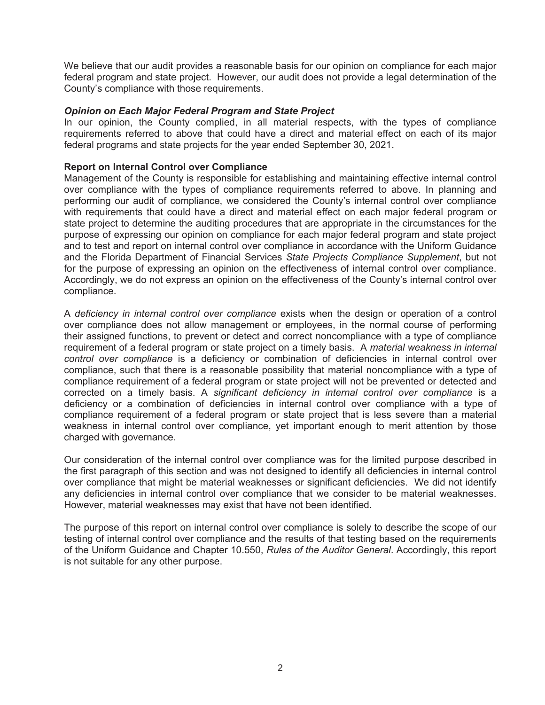We believe that our audit provides a reasonable basis for our opinion on compliance for each major federal program and state project. However, our audit does not provide a legal determination of the County's compliance with those requirements.

#### *Opinion on Each Major Federal Program and State Project*

In our opinion, the County complied, in all material respects, with the types of compliance requirements referred to above that could have a direct and material effect on each of its major federal programs and state projects for the year ended September 30, 2021.

## **Report on Internal Control over Compliance**

Management of the County is responsible for establishing and maintaining effective internal control over compliance with the types of compliance requirements referred to above. In planning and performing our audit of compliance, we considered the County's internal control over compliance with requirements that could have a direct and material effect on each major federal program or state project to determine the auditing procedures that are appropriate in the circumstances for the purpose of expressing our opinion on compliance for each major federal program and state project and to test and report on internal control over compliance in accordance with the Uniform Guidance and the Florida Department of Financial Services *State Projects Compliance Supplement*, but not for the purpose of expressing an opinion on the effectiveness of internal control over compliance. Accordingly, we do not express an opinion on the effectiveness of the County's internal control over compliance.

A *deficiency in internal control over compliance* exists when the design or operation of a control over compliance does not allow management or employees, in the normal course of performing their assigned functions, to prevent or detect and correct noncompliance with a type of compliance requirement of a federal program or state project on a timely basis. A *material weakness in internal control over compliance* is a deficiency or combination of deficiencies in internal control over compliance, such that there is a reasonable possibility that material noncompliance with a type of compliance requirement of a federal program or state project will not be prevented or detected and corrected on a timely basis. A *significant deficiency in internal control over compliance* is a deficiency or a combination of deficiencies in internal control over compliance with a type of compliance requirement of a federal program or state project that is less severe than a material weakness in internal control over compliance, yet important enough to merit attention by those charged with governance.

Our consideration of the internal control over compliance was for the limited purpose described in the first paragraph of this section and was not designed to identify all deficiencies in internal control over compliance that might be material weaknesses or significant deficiencies. We did not identify any deficiencies in internal control over compliance that we consider to be material weaknesses. However, material weaknesses may exist that have not been identified.

The purpose of this report on internal control over compliance is solely to describe the scope of our testing of internal control over compliance and the results of that testing based on the requirements of the Uniform Guidance and Chapter 10.550, *Rules of the Auditor General*. Accordingly, this report is not suitable for any other purpose.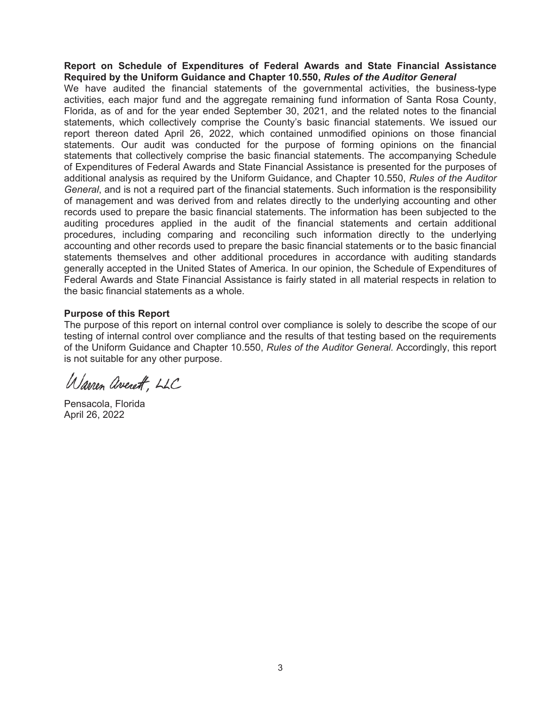#### **Report on Schedule of Expenditures of Federal Awards and State Financial Assistance Required by the Uniform Guidance and Chapter 10.550,** *Rules of the Auditor General*

We have audited the financial statements of the governmental activities, the business-type activities, each major fund and the aggregate remaining fund information of Santa Rosa County, Florida, as of and for the year ended September 30, 2021, and the related notes to the financial statements, which collectively comprise the County's basic financial statements. We issued our report thereon dated April 26, 2022, which contained unmodified opinions on those financial statements. Our audit was conducted for the purpose of forming opinions on the financial statements that collectively comprise the basic financial statements. The accompanying Schedule of Expenditures of Federal Awards and State Financial Assistance is presented for the purposes of additional analysis as required by the Uniform Guidance, and Chapter 10.550, *Rules of the Auditor General*, and is not a required part of the financial statements. Such information is the responsibility of management and was derived from and relates directly to the underlying accounting and other records used to prepare the basic financial statements. The information has been subjected to the auditing procedures applied in the audit of the financial statements and certain additional procedures, including comparing and reconciling such information directly to the underlying accounting and other records used to prepare the basic financial statements or to the basic financial statements themselves and other additional procedures in accordance with auditing standards generally accepted in the United States of America. In our opinion, the Schedule of Expenditures of Federal Awards and State Financial Assistance is fairly stated in all material respects in relation to the basic financial statements as a whole.

#### **Purpose of this Report**

The purpose of this report on internal control over compliance is solely to describe the scope of our testing of internal control over compliance and the results of that testing based on the requirements of the Uniform Guidance and Chapter 10.550, *Rules of the Auditor General.* Accordingly, this report is not suitable for any other purpose.

Warren averett, LLC

Pensacola, Florida April 26, 2022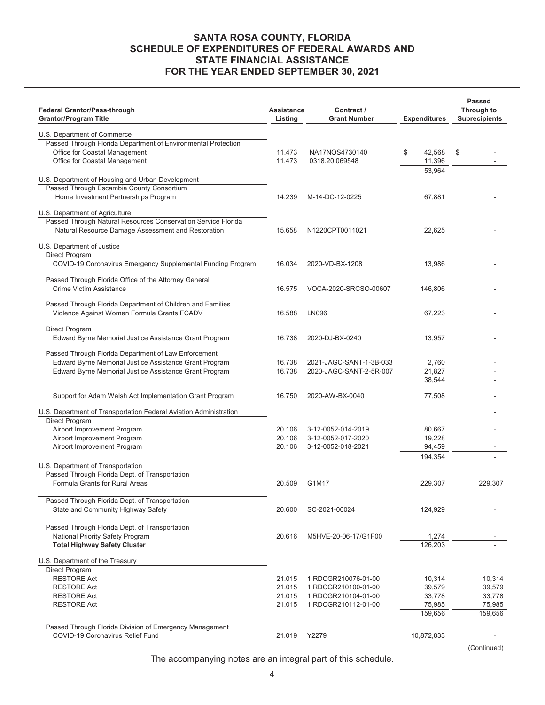## **SANTA ROSA COUNTY, FLORIDA SCHEDULE OF EXPENDITURES OF FEDERAL AWARDS AND STATE FINANCIAL ASSISTANCE FOR THE YEAR ENDED SEPTEMBER 30, 2021**

| Federal Grantor/Pass-through<br><b>Grantor/Program Title</b>                                       | <b>Assistance</b><br>Listing | Contract /<br><b>Grant Number</b> | <b>Expenditures</b> | <b>Passed</b><br>Through to<br><b>Subrecipients</b> |
|----------------------------------------------------------------------------------------------------|------------------------------|-----------------------------------|---------------------|-----------------------------------------------------|
| U.S. Department of Commerce                                                                        |                              |                                   |                     |                                                     |
| Passed Through Florida Department of Environmental Protection                                      |                              |                                   |                     |                                                     |
| Office for Coastal Management                                                                      | 11.473                       | NA17NOS4730140                    | 42,568<br>\$        | \$                                                  |
| Office for Coastal Management                                                                      | 11.473                       | 0318.20.069548                    | 11,396              |                                                     |
| U.S. Department of Housing and Urban Development                                                   |                              |                                   | 53,964              |                                                     |
| Passed Through Escambia County Consortium                                                          |                              |                                   |                     |                                                     |
| Home Investment Partnerships Program                                                               | 14.239                       | M-14-DC-12-0225                   | 67,881              |                                                     |
| U.S. Department of Agriculture                                                                     |                              |                                   |                     |                                                     |
| Passed Through Natural Resources Conservation Service Florida                                      |                              |                                   |                     |                                                     |
| Natural Resource Damage Assessment and Restoration                                                 | 15.658                       | N1220CPT0011021                   | 22,625              |                                                     |
| U.S. Department of Justice                                                                         |                              |                                   |                     |                                                     |
| Direct Program<br>COVID-19 Coronavirus Emergency Supplemental Funding Program                      | 16.034                       | 2020-VD-BX-1208                   | 13,986              |                                                     |
| Passed Through Florida Office of the Attorney General                                              |                              |                                   |                     |                                                     |
| Crime Victim Assistance                                                                            | 16.575                       | VOCA-2020-SRCSO-00607             | 146,806             |                                                     |
| Passed Through Florida Department of Children and Families                                         |                              |                                   |                     |                                                     |
| Violence Against Women Formula Grants FCADV                                                        | 16.588                       | LN096                             | 67,223              |                                                     |
| Direct Program                                                                                     |                              |                                   |                     |                                                     |
| Edward Byrne Memorial Justice Assistance Grant Program                                             | 16.738                       | 2020-DJ-BX-0240                   | 13,957              |                                                     |
| Passed Through Florida Department of Law Enforcement                                               |                              |                                   |                     |                                                     |
| Edward Byrne Memorial Justice Assistance Grant Program                                             | 16.738                       | 2021-JAGC-SANT-1-3B-033           | 2,760               |                                                     |
| Edward Byrne Memorial Justice Assistance Grant Program                                             | 16.738                       | 2020-JAGC-SANT-2-5R-007           | 21,827              |                                                     |
|                                                                                                    |                              |                                   | 38,544              |                                                     |
| Support for Adam Walsh Act Implementation Grant Program                                            | 16.750                       | 2020-AW-BX-0040                   | 77,508              |                                                     |
| U.S. Department of Transportation Federal Aviation Administration                                  |                              |                                   |                     |                                                     |
| Direct Program                                                                                     |                              |                                   |                     |                                                     |
| Airport Improvement Program                                                                        | 20.106                       | 3-12-0052-014-2019                | 80,667              |                                                     |
| Airport Improvement Program                                                                        | 20.106                       | 3-12-0052-017-2020                | 19,228              |                                                     |
| Airport Improvement Program                                                                        | 20.106                       | 3-12-0052-018-2021                | 94,459              | ٠                                                   |
|                                                                                                    |                              |                                   | 194,354             |                                                     |
| U.S. Department of Transportation<br>Passed Through Florida Dept. of Transportation                |                              |                                   |                     |                                                     |
| Formula Grants for Rural Areas                                                                     | 20.509                       | G1M17                             | 229,307             | 229,307                                             |
|                                                                                                    |                              |                                   |                     |                                                     |
| Passed Through Florida Dept. of Transportation                                                     |                              |                                   |                     |                                                     |
| State and Community Highway Safety                                                                 | 20.600                       | SC-2021-00024                     | 124,929             |                                                     |
| Passed Through Florida Dept. of Transportation                                                     |                              |                                   |                     |                                                     |
| National Priority Safety Program                                                                   | 20.616                       | M5HVE-20-06-17/G1F00              | 1,274               |                                                     |
| <b>Total Highway Safety Cluster</b>                                                                |                              |                                   | 126,203             |                                                     |
| U.S. Department of the Treasury                                                                    |                              |                                   |                     |                                                     |
| Direct Program                                                                                     |                              |                                   |                     |                                                     |
| <b>RESTORE Act</b>                                                                                 | 21.015                       | 1 RDCGR210076-01-00               | 10,314              | 10,314                                              |
| <b>RESTORE Act</b>                                                                                 | 21.015                       | 1 RDCGR210100-01-00               | 39,579              | 39,579                                              |
| <b>RESTORE Act</b>                                                                                 | 21.015                       | 1 RDCGR210104-01-00               | 33,778              | 33,778                                              |
| <b>RESTORE Act</b>                                                                                 | 21.015                       | 1 RDCGR210112-01-00               | 75,985              | 75,985                                              |
|                                                                                                    |                              |                                   | 159,656             | 159,656                                             |
| Passed Through Florida Division of Emergency Management<br><b>COVID-19 Coronavirus Relief Fund</b> | 21.019                       | Y2279                             | 10,872,833          |                                                     |
|                                                                                                    |                              |                                   |                     | (Continued)                                         |
|                                                                                                    |                              |                                   |                     |                                                     |

The accompanying notes are an integral part of this schedule.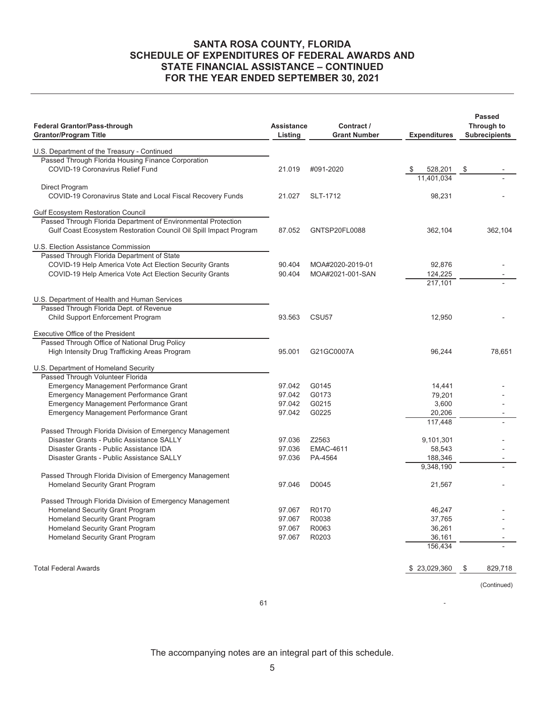## **SANTA ROSA COUNTY, FLORIDA SCHEDULE OF EXPENDITURES OF FEDERAL AWARDS AND STATE FINANCIAL ASSISTANCE – CONTINUED FOR THE YEAR ENDED SEPTEMBER 30, 2021**

| <b>Federal Grantor/Pass-through</b><br><b>Grantor/Program Title</b> | <b>Assistance</b><br>Listing | Contract /<br><b>Grant Number</b> | <b>Expenditures</b>   | <b>Passed</b><br>Through to<br><b>Subrecipients</b> |
|---------------------------------------------------------------------|------------------------------|-----------------------------------|-----------------------|-----------------------------------------------------|
| U.S. Department of the Treasury - Continued                         |                              |                                   |                       |                                                     |
| Passed Through Florida Housing Finance Corporation                  |                              |                                   |                       |                                                     |
| COVID-19 Coronavirus Relief Fund                                    | 21.019                       | #091-2020                         | 528,201<br>11,401,034 | \$                                                  |
| Direct Program                                                      |                              |                                   |                       |                                                     |
| COVID-19 Coronavirus State and Local Fiscal Recovery Funds          | 21.027                       | SLT-1712                          | 98,231                |                                                     |
| <b>Gulf Ecosystem Restoration Council</b>                           |                              |                                   |                       |                                                     |
| Passed Through Florida Department of Environmental Protection       |                              |                                   |                       |                                                     |
| Gulf Coast Ecosystem Restoration Council Oil Spill Impact Program   | 87.052                       | GNTSP20FL0088                     | 362,104               | 362,104                                             |
| U.S. Election Assistance Commission                                 |                              |                                   |                       |                                                     |
| Passed Through Florida Department of State                          |                              |                                   |                       |                                                     |
| COVID-19 Help America Vote Act Election Security Grants             | 90.404                       | MOA#2020-2019-01                  | 92,876                |                                                     |
| COVID-19 Help America Vote Act Election Security Grants             | 90.404                       | MOA#2021-001-SAN                  | 124,225               |                                                     |
|                                                                     |                              |                                   | 217,101               |                                                     |
| U.S. Department of Health and Human Services                        |                              |                                   |                       |                                                     |
| Passed Through Florida Dept. of Revenue                             |                              |                                   |                       |                                                     |
| Child Support Enforcement Program                                   | 93.563                       | CSU <sub>57</sub>                 | 12,950                |                                                     |
| Executive Office of the President                                   |                              |                                   |                       |                                                     |
| Passed Through Office of National Drug Policy                       |                              |                                   |                       |                                                     |
| High Intensity Drug Trafficking Areas Program                       | 95.001                       | G21GC0007A                        | 96,244                | 78,651                                              |
| U.S. Department of Homeland Security                                |                              |                                   |                       |                                                     |
| Passed Through Volunteer Florida                                    |                              |                                   |                       |                                                     |
| Emergency Management Performance Grant                              | 97.042                       | G0145                             | 14,441                |                                                     |
| Emergency Management Performance Grant                              | 97.042                       | G0173                             | 79,201                |                                                     |
| Emergency Management Performance Grant                              | 97.042                       | G0215                             | 3,600                 |                                                     |
| <b>Emergency Management Performance Grant</b>                       | 97.042                       | G0225                             | 20,206                |                                                     |
|                                                                     |                              |                                   | 117,448               |                                                     |
| Passed Through Florida Division of Emergency Management             |                              |                                   |                       |                                                     |
| Disaster Grants - Public Assistance SALLY                           | 97.036                       | Z2563                             | 9,101,301             |                                                     |
| Disaster Grants - Public Assistance IDA                             | 97.036                       | <b>EMAC-4611</b>                  | 58,543                |                                                     |
| Disaster Grants - Public Assistance SALLY                           | 97.036                       | PA-4564                           | 188,346<br>9,348,190  |                                                     |
| Passed Through Florida Division of Emergency Management             |                              |                                   |                       |                                                     |
| Homeland Security Grant Program                                     | 97.046                       | D0045                             | 21,567                |                                                     |
| Passed Through Florida Division of Emergency Management             |                              |                                   |                       |                                                     |
| Homeland Security Grant Program                                     | 97.067                       | R0170                             | 46,247                |                                                     |
| Homeland Security Grant Program                                     | 97.067                       | R0038                             | 37,765                |                                                     |
| Homeland Security Grant Program                                     | 97.067                       | R0063                             | 36,261                |                                                     |
| Homeland Security Grant Program                                     | 97.067                       | R0203                             | 36,161                |                                                     |
|                                                                     |                              |                                   | 156,434               |                                                     |
|                                                                     |                              |                                   |                       |                                                     |
| <b>Total Federal Awards</b>                                         |                              |                                   | \$23,029,360          | 829,718<br>\$                                       |
|                                                                     |                              |                                   |                       | (Continued)                                         |

61 **- Executive Contract Contract Contract Contract Contract Contract Contract Contract Contract Contract Contract Contract Contract Contract Contract Contract Contract Contract Contract Contract Contract Contract Contract** 

The accompanying notes are an integral part of this schedule.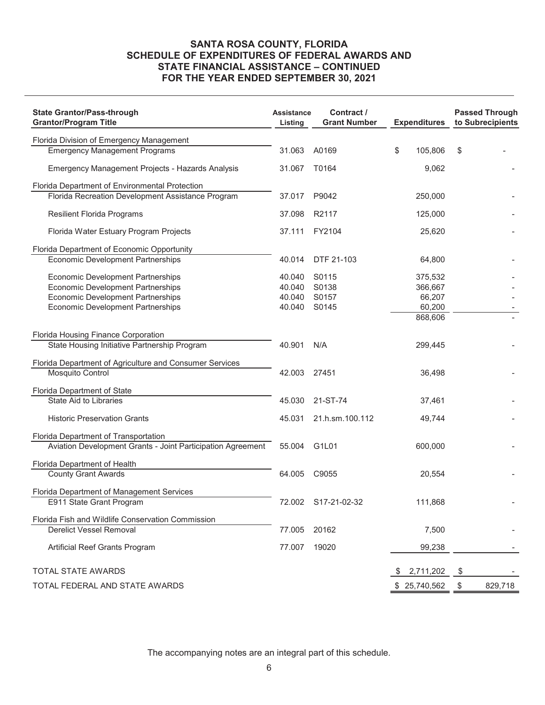## **SANTA ROSA COUNTY, FLORIDA SCHEDULE OF EXPENDITURES OF FEDERAL AWARDS AND STATE FINANCIAL ASSISTANCE – CONTINUED FOR THE YEAR ENDED SEPTEMBER 30, 2021**

| Florida Division of Emergency Management<br><b>Emergency Management Programs</b><br>\$<br>31.063<br>A0169<br>105,806<br>\$<br>31.067<br>T0164<br>9,062<br>Emergency Management Projects - Hazards Analysis<br>Florida Department of Environmental Protection<br>Florida Recreation Development Assistance Program<br>37.017<br>P9042<br>250,000<br><b>Resilient Florida Programs</b><br>37.098<br>R <sub>2117</sub><br>125,000<br>FY2104<br>25,620<br>Florida Water Estuary Program Projects<br>37.111<br>Florida Department of Economic Opportunity<br><b>Economic Development Partnerships</b><br>DTF 21-103<br>64,800<br>40.014<br><b>Economic Development Partnerships</b><br>40.040<br>S0115<br>375,532<br><b>Economic Development Partnerships</b><br>40.040<br>S0138<br>366,667<br><b>Economic Development Partnerships</b><br>40.040<br>S0157<br>66,207<br><b>Economic Development Partnerships</b><br>60,200<br>40.040<br>S0145<br>868,606<br>Florida Housing Finance Corporation<br>State Housing Initiative Partnership Program<br>40.901<br>N/A<br>299,445<br>Florida Department of Agriculture and Consumer Services<br>Mosquito Control<br>42.003<br>27451<br>36,498<br>Florida Department of State<br><b>State Aid to Libraries</b><br>45.030<br>21-ST-74<br>37,461<br><b>Historic Preservation Grants</b><br>21.h.sm.100.112<br>45.031<br>49,744<br>Florida Department of Transportation<br>Aviation Development Grants - Joint Participation Agreement<br>55.004<br>G1L01<br>600,000<br>Florida Department of Health<br><b>County Grant Awards</b><br>64.005<br>C9055<br>20,554<br>Florida Department of Management Services<br>E911 State Grant Program<br>111,868<br>72.002 S17-21-02-32<br>Florida Fish and Wildlife Conservation Commission<br><b>Derelict Vessel Removal</b><br>77.005<br>20162<br>7,500<br>Artificial Reef Grants Program<br>77.007<br>19020<br>99,238<br>TOTAL STATE AWARDS<br>\$2,711,202<br>\$<br>TOTAL FEDERAL AND STATE AWARDS<br>829,718<br>\$25,740,562<br>\$ | <b>State Grantor/Pass-through</b><br><b>Grantor/Program Title</b> | <b>Assistance</b><br>Listing | Contract /<br><b>Grant Number</b> | <b>Expenditures</b> | <b>Passed Through</b><br>to Subrecipients |
|-------------------------------------------------------------------------------------------------------------------------------------------------------------------------------------------------------------------------------------------------------------------------------------------------------------------------------------------------------------------------------------------------------------------------------------------------------------------------------------------------------------------------------------------------------------------------------------------------------------------------------------------------------------------------------------------------------------------------------------------------------------------------------------------------------------------------------------------------------------------------------------------------------------------------------------------------------------------------------------------------------------------------------------------------------------------------------------------------------------------------------------------------------------------------------------------------------------------------------------------------------------------------------------------------------------------------------------------------------------------------------------------------------------------------------------------------------------------------------------------------------------------------------------------------------------------------------------------------------------------------------------------------------------------------------------------------------------------------------------------------------------------------------------------------------------------------------------------------------------------------------------------------------------------------------------------------------------------------------------------------------------|-------------------------------------------------------------------|------------------------------|-----------------------------------|---------------------|-------------------------------------------|
|                                                                                                                                                                                                                                                                                                                                                                                                                                                                                                                                                                                                                                                                                                                                                                                                                                                                                                                                                                                                                                                                                                                                                                                                                                                                                                                                                                                                                                                                                                                                                                                                                                                                                                                                                                                                                                                                                                                                                                                                             |                                                                   |                              |                                   |                     |                                           |
|                                                                                                                                                                                                                                                                                                                                                                                                                                                                                                                                                                                                                                                                                                                                                                                                                                                                                                                                                                                                                                                                                                                                                                                                                                                                                                                                                                                                                                                                                                                                                                                                                                                                                                                                                                                                                                                                                                                                                                                                             |                                                                   |                              |                                   |                     |                                           |
|                                                                                                                                                                                                                                                                                                                                                                                                                                                                                                                                                                                                                                                                                                                                                                                                                                                                                                                                                                                                                                                                                                                                                                                                                                                                                                                                                                                                                                                                                                                                                                                                                                                                                                                                                                                                                                                                                                                                                                                                             |                                                                   |                              |                                   |                     |                                           |
|                                                                                                                                                                                                                                                                                                                                                                                                                                                                                                                                                                                                                                                                                                                                                                                                                                                                                                                                                                                                                                                                                                                                                                                                                                                                                                                                                                                                                                                                                                                                                                                                                                                                                                                                                                                                                                                                                                                                                                                                             |                                                                   |                              |                                   |                     |                                           |
|                                                                                                                                                                                                                                                                                                                                                                                                                                                                                                                                                                                                                                                                                                                                                                                                                                                                                                                                                                                                                                                                                                                                                                                                                                                                                                                                                                                                                                                                                                                                                                                                                                                                                                                                                                                                                                                                                                                                                                                                             |                                                                   |                              |                                   |                     |                                           |
|                                                                                                                                                                                                                                                                                                                                                                                                                                                                                                                                                                                                                                                                                                                                                                                                                                                                                                                                                                                                                                                                                                                                                                                                                                                                                                                                                                                                                                                                                                                                                                                                                                                                                                                                                                                                                                                                                                                                                                                                             |                                                                   |                              |                                   |                     |                                           |
|                                                                                                                                                                                                                                                                                                                                                                                                                                                                                                                                                                                                                                                                                                                                                                                                                                                                                                                                                                                                                                                                                                                                                                                                                                                                                                                                                                                                                                                                                                                                                                                                                                                                                                                                                                                                                                                                                                                                                                                                             |                                                                   |                              |                                   |                     |                                           |
|                                                                                                                                                                                                                                                                                                                                                                                                                                                                                                                                                                                                                                                                                                                                                                                                                                                                                                                                                                                                                                                                                                                                                                                                                                                                                                                                                                                                                                                                                                                                                                                                                                                                                                                                                                                                                                                                                                                                                                                                             |                                                                   |                              |                                   |                     |                                           |
|                                                                                                                                                                                                                                                                                                                                                                                                                                                                                                                                                                                                                                                                                                                                                                                                                                                                                                                                                                                                                                                                                                                                                                                                                                                                                                                                                                                                                                                                                                                                                                                                                                                                                                                                                                                                                                                                                                                                                                                                             |                                                                   |                              |                                   |                     |                                           |
|                                                                                                                                                                                                                                                                                                                                                                                                                                                                                                                                                                                                                                                                                                                                                                                                                                                                                                                                                                                                                                                                                                                                                                                                                                                                                                                                                                                                                                                                                                                                                                                                                                                                                                                                                                                                                                                                                                                                                                                                             |                                                                   |                              |                                   |                     |                                           |
|                                                                                                                                                                                                                                                                                                                                                                                                                                                                                                                                                                                                                                                                                                                                                                                                                                                                                                                                                                                                                                                                                                                                                                                                                                                                                                                                                                                                                                                                                                                                                                                                                                                                                                                                                                                                                                                                                                                                                                                                             |                                                                   |                              |                                   |                     |                                           |
|                                                                                                                                                                                                                                                                                                                                                                                                                                                                                                                                                                                                                                                                                                                                                                                                                                                                                                                                                                                                                                                                                                                                                                                                                                                                                                                                                                                                                                                                                                                                                                                                                                                                                                                                                                                                                                                                                                                                                                                                             |                                                                   |                              |                                   |                     |                                           |
|                                                                                                                                                                                                                                                                                                                                                                                                                                                                                                                                                                                                                                                                                                                                                                                                                                                                                                                                                                                                                                                                                                                                                                                                                                                                                                                                                                                                                                                                                                                                                                                                                                                                                                                                                                                                                                                                                                                                                                                                             |                                                                   |                              |                                   |                     |                                           |
|                                                                                                                                                                                                                                                                                                                                                                                                                                                                                                                                                                                                                                                                                                                                                                                                                                                                                                                                                                                                                                                                                                                                                                                                                                                                                                                                                                                                                                                                                                                                                                                                                                                                                                                                                                                                                                                                                                                                                                                                             |                                                                   |                              |                                   |                     |                                           |
|                                                                                                                                                                                                                                                                                                                                                                                                                                                                                                                                                                                                                                                                                                                                                                                                                                                                                                                                                                                                                                                                                                                                                                                                                                                                                                                                                                                                                                                                                                                                                                                                                                                                                                                                                                                                                                                                                                                                                                                                             |                                                                   |                              |                                   |                     |                                           |
|                                                                                                                                                                                                                                                                                                                                                                                                                                                                                                                                                                                                                                                                                                                                                                                                                                                                                                                                                                                                                                                                                                                                                                                                                                                                                                                                                                                                                                                                                                                                                                                                                                                                                                                                                                                                                                                                                                                                                                                                             |                                                                   |                              |                                   |                     |                                           |
|                                                                                                                                                                                                                                                                                                                                                                                                                                                                                                                                                                                                                                                                                                                                                                                                                                                                                                                                                                                                                                                                                                                                                                                                                                                                                                                                                                                                                                                                                                                                                                                                                                                                                                                                                                                                                                                                                                                                                                                                             |                                                                   |                              |                                   |                     |                                           |
|                                                                                                                                                                                                                                                                                                                                                                                                                                                                                                                                                                                                                                                                                                                                                                                                                                                                                                                                                                                                                                                                                                                                                                                                                                                                                                                                                                                                                                                                                                                                                                                                                                                                                                                                                                                                                                                                                                                                                                                                             |                                                                   |                              |                                   |                     |                                           |
|                                                                                                                                                                                                                                                                                                                                                                                                                                                                                                                                                                                                                                                                                                                                                                                                                                                                                                                                                                                                                                                                                                                                                                                                                                                                                                                                                                                                                                                                                                                                                                                                                                                                                                                                                                                                                                                                                                                                                                                                             |                                                                   |                              |                                   |                     |                                           |
|                                                                                                                                                                                                                                                                                                                                                                                                                                                                                                                                                                                                                                                                                                                                                                                                                                                                                                                                                                                                                                                                                                                                                                                                                                                                                                                                                                                                                                                                                                                                                                                                                                                                                                                                                                                                                                                                                                                                                                                                             |                                                                   |                              |                                   |                     |                                           |
|                                                                                                                                                                                                                                                                                                                                                                                                                                                                                                                                                                                                                                                                                                                                                                                                                                                                                                                                                                                                                                                                                                                                                                                                                                                                                                                                                                                                                                                                                                                                                                                                                                                                                                                                                                                                                                                                                                                                                                                                             |                                                                   |                              |                                   |                     |                                           |
|                                                                                                                                                                                                                                                                                                                                                                                                                                                                                                                                                                                                                                                                                                                                                                                                                                                                                                                                                                                                                                                                                                                                                                                                                                                                                                                                                                                                                                                                                                                                                                                                                                                                                                                                                                                                                                                                                                                                                                                                             |                                                                   |                              |                                   |                     |                                           |
|                                                                                                                                                                                                                                                                                                                                                                                                                                                                                                                                                                                                                                                                                                                                                                                                                                                                                                                                                                                                                                                                                                                                                                                                                                                                                                                                                                                                                                                                                                                                                                                                                                                                                                                                                                                                                                                                                                                                                                                                             |                                                                   |                              |                                   |                     |                                           |
|                                                                                                                                                                                                                                                                                                                                                                                                                                                                                                                                                                                                                                                                                                                                                                                                                                                                                                                                                                                                                                                                                                                                                                                                                                                                                                                                                                                                                                                                                                                                                                                                                                                                                                                                                                                                                                                                                                                                                                                                             |                                                                   |                              |                                   |                     |                                           |
|                                                                                                                                                                                                                                                                                                                                                                                                                                                                                                                                                                                                                                                                                                                                                                                                                                                                                                                                                                                                                                                                                                                                                                                                                                                                                                                                                                                                                                                                                                                                                                                                                                                                                                                                                                                                                                                                                                                                                                                                             |                                                                   |                              |                                   |                     |                                           |
|                                                                                                                                                                                                                                                                                                                                                                                                                                                                                                                                                                                                                                                                                                                                                                                                                                                                                                                                                                                                                                                                                                                                                                                                                                                                                                                                                                                                                                                                                                                                                                                                                                                                                                                                                                                                                                                                                                                                                                                                             |                                                                   |                              |                                   |                     |                                           |
|                                                                                                                                                                                                                                                                                                                                                                                                                                                                                                                                                                                                                                                                                                                                                                                                                                                                                                                                                                                                                                                                                                                                                                                                                                                                                                                                                                                                                                                                                                                                                                                                                                                                                                                                                                                                                                                                                                                                                                                                             |                                                                   |                              |                                   |                     |                                           |
|                                                                                                                                                                                                                                                                                                                                                                                                                                                                                                                                                                                                                                                                                                                                                                                                                                                                                                                                                                                                                                                                                                                                                                                                                                                                                                                                                                                                                                                                                                                                                                                                                                                                                                                                                                                                                                                                                                                                                                                                             |                                                                   |                              |                                   |                     |                                           |
|                                                                                                                                                                                                                                                                                                                                                                                                                                                                                                                                                                                                                                                                                                                                                                                                                                                                                                                                                                                                                                                                                                                                                                                                                                                                                                                                                                                                                                                                                                                                                                                                                                                                                                                                                                                                                                                                                                                                                                                                             |                                                                   |                              |                                   |                     |                                           |
|                                                                                                                                                                                                                                                                                                                                                                                                                                                                                                                                                                                                                                                                                                                                                                                                                                                                                                                                                                                                                                                                                                                                                                                                                                                                                                                                                                                                                                                                                                                                                                                                                                                                                                                                                                                                                                                                                                                                                                                                             |                                                                   |                              |                                   |                     |                                           |
|                                                                                                                                                                                                                                                                                                                                                                                                                                                                                                                                                                                                                                                                                                                                                                                                                                                                                                                                                                                                                                                                                                                                                                                                                                                                                                                                                                                                                                                                                                                                                                                                                                                                                                                                                                                                                                                                                                                                                                                                             |                                                                   |                              |                                   |                     |                                           |
|                                                                                                                                                                                                                                                                                                                                                                                                                                                                                                                                                                                                                                                                                                                                                                                                                                                                                                                                                                                                                                                                                                                                                                                                                                                                                                                                                                                                                                                                                                                                                                                                                                                                                                                                                                                                                                                                                                                                                                                                             |                                                                   |                              |                                   |                     |                                           |

The accompanying notes are an integral part of this schedule.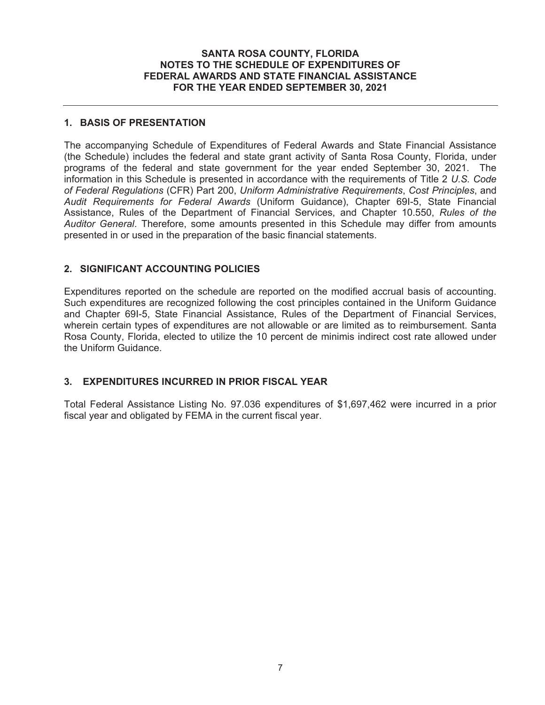#### **SANTA ROSA COUNTY, FLORIDA NOTES TO THE SCHEDULE OF EXPENDITURES OF FEDERAL AWARDS AND STATE FINANCIAL ASSISTANCE FOR THE YEAR ENDED SEPTEMBER 30, 2021**

## **1. BASIS OF PRESENTATION**

The accompanying Schedule of Expenditures of Federal Awards and State Financial Assistance (the Schedule) includes the federal and state grant activity of Santa Rosa County, Florida, under programs of the federal and state government for the year ended September 30, 2021. The information in this Schedule is presented in accordance with the requirements of Title 2 *U.S. Code of Federal Regulations* (CFR) Part 200, *Uniform Administrative Requirements*, *Cost Principles*, and *Audit Requirements for Federal Awards* (Uniform Guidance), Chapter 69I-5, State Financial Assistance, Rules of the Department of Financial Services, and Chapter 10.550, *Rules of the Auditor General*. Therefore, some amounts presented in this Schedule may differ from amounts presented in or used in the preparation of the basic financial statements.

## **2. SIGNIFICANT ACCOUNTING POLICIES**

Expenditures reported on the schedule are reported on the modified accrual basis of accounting. Such expenditures are recognized following the cost principles contained in the Uniform Guidance and Chapter 69I-5, State Financial Assistance, Rules of the Department of Financial Services, wherein certain types of expenditures are not allowable or are limited as to reimbursement. Santa Rosa County, Florida, elected to utilize the 10 percent de minimis indirect cost rate allowed under the Uniform Guidance.

## **3. EXPENDITURES INCURRED IN PRIOR FISCAL YEAR**

Total Federal Assistance Listing No. 97.036 expenditures of \$1,697,462 were incurred in a prior fiscal year and obligated by FEMA in the current fiscal year.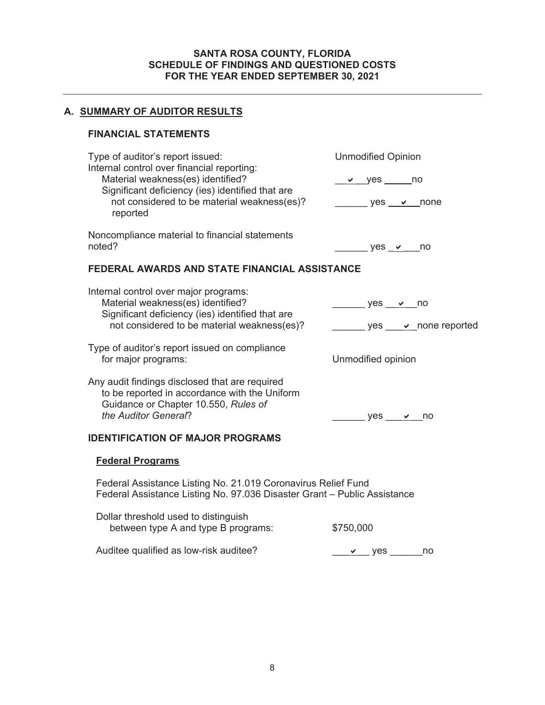#### **SANTA ROSA COUNTY, FLORIDA SCHEDULE OF FINDINGS AND QUESTIONED COSTS FOR THE YEAR ENDED SEPTEMBER 30, 2021**

# **A. SUMMARY OF AUDITOR RESULTS**

## **FINANCIAL STATEMENTS**

|        | Type of auditor's report issued:<br>Internal control over financial reporting:<br>Material weakness(es) identified?<br>Significant deficiency (ies) identified that are<br>not considered to be material weakness(es)?<br>reported | <b>Unmodified Opinion</b>                                     |  |  |  |  |
|--------|------------------------------------------------------------------------------------------------------------------------------------------------------------------------------------------------------------------------------------|---------------------------------------------------------------|--|--|--|--|
|        |                                                                                                                                                                                                                                    | $y$ es no                                                     |  |  |  |  |
|        |                                                                                                                                                                                                                                    | $\frac{\ }{\ }$ yes $\frac{\ }{\ }$ none                      |  |  |  |  |
| noted? | Noncompliance material to financial statements                                                                                                                                                                                     | ___ yes _ <b>v</b> __ no                                      |  |  |  |  |
|        | FEDERAL AWARDS AND STATE FINANCIAL ASSISTANCE                                                                                                                                                                                      |                                                               |  |  |  |  |
|        | Internal control over major programs:                                                                                                                                                                                              |                                                               |  |  |  |  |
|        | Material weakness(es) identified?<br>Significant deficiency (ies) identified that are                                                                                                                                              | yes v no                                                      |  |  |  |  |
|        | not considered to be material weakness(es)?                                                                                                                                                                                        | $\frac{\cdot}{\cdot}$ yes $\frac{\cdot}{\cdot}$ none reported |  |  |  |  |
|        | Type of auditor's report issued on compliance<br>for major programs:                                                                                                                                                               | Unmodified opinion                                            |  |  |  |  |
|        | Any audit findings disclosed that are required                                                                                                                                                                                     |                                                               |  |  |  |  |
|        | to be reported in accordance with the Uniform<br>Guidance or Chapter 10.550, Rules of                                                                                                                                              |                                                               |  |  |  |  |
|        | the Auditor General?                                                                                                                                                                                                               | ___ yes ___ <u>v___</u> no                                    |  |  |  |  |
|        | <b>IDENTIFICATION OF MAJOR PROGRAMS</b>                                                                                                                                                                                            |                                                               |  |  |  |  |
|        | <b>Federal Programs</b>                                                                                                                                                                                                            |                                                               |  |  |  |  |
|        | Federal Assistance Listing No. 21.019 Coronavirus Relief Fund<br>Federal Assistance Listing No. 97.036 Disaster Grant - Public Assistance                                                                                          |                                                               |  |  |  |  |
|        | Dollar threshold used to distinguish                                                                                                                                                                                               |                                                               |  |  |  |  |

| Dollar trireshold used to distinguish<br>between type A and type B programs: | \$750,000  |     |
|------------------------------------------------------------------------------|------------|-----|
| Auditee qualified as low-risk auditee?                                       | <b>Ves</b> | no. |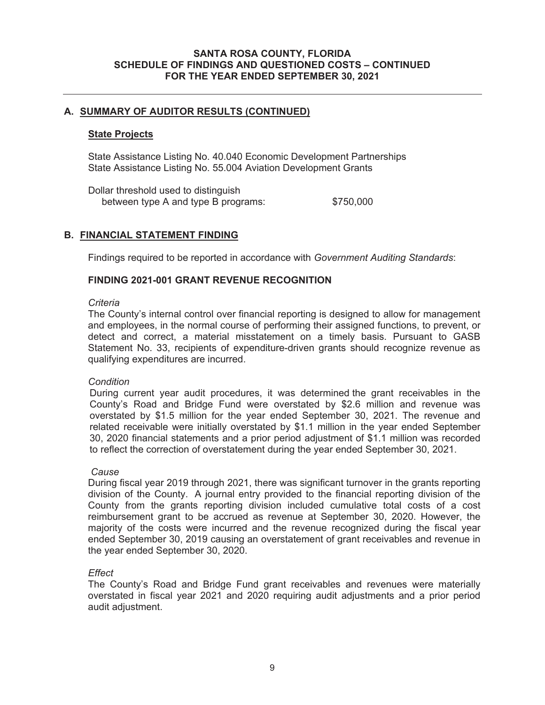#### **SANTA ROSA COUNTY, FLORIDA SCHEDULE OF FINDINGS AND QUESTIONED COSTS – CONTINUED FOR THE YEAR ENDED SEPTEMBER 30, 2021**

## **A. SUMMARY OF AUDITOR RESULTS (CONTINUED)**

#### **State Projects**

State Assistance Listing No. 40.040 Economic Development Partnerships State Assistance Listing No. 55.004 Aviation Development Grants

Dollar threshold used to distinguish between type A and type B programs:  $$750,000$ 

#### **B. FINANCIAL STATEMENT FINDING**

Findings required to be reported in accordance with *Government Auditing Standards*:

#### **FINDING 2021-001 GRANT REVENUE RECOGNITION**

#### *Criteria*

The County's internal control over financial reporting is designed to allow for management and employees, in the normal course of performing their assigned functions, to prevent, or detect and correct, a material misstatement on a timely basis. Pursuant to GASB Statement No. 33, recipients of expenditure-driven grants should recognize revenue as qualifying expenditures are incurred.

#### *Condition*

During current year audit procedures, it was determined the grant receivables in the County's Road and Bridge Fund were overstated by \$2.6 million and revenue was overstated by \$1.5 million for the year ended September 30, 2021. The revenue and related receivable were initially overstated by \$1.1 million in the year ended September 30, 2020 financial statements and a prior period adjustment of \$1.1 million was recorded to reflect the correction of overstatement during the year ended September 30, 2021.

#### *Cause*

During fiscal year 2019 through 2021, there was significant turnover in the grants reporting division of the County. A journal entry provided to the financial reporting division of the County from the grants reporting division included cumulative total costs of a cost reimbursement grant to be accrued as revenue at September 30, 2020. However, the majority of the costs were incurred and the revenue recognized during the fiscal year ended September 30, 2019 causing an overstatement of grant receivables and revenue in the year ended September 30, 2020.

#### *Effect*

The County's Road and Bridge Fund grant receivables and revenues were materially overstated in fiscal year 2021 and 2020 requiring audit adjustments and a prior period audit adjustment.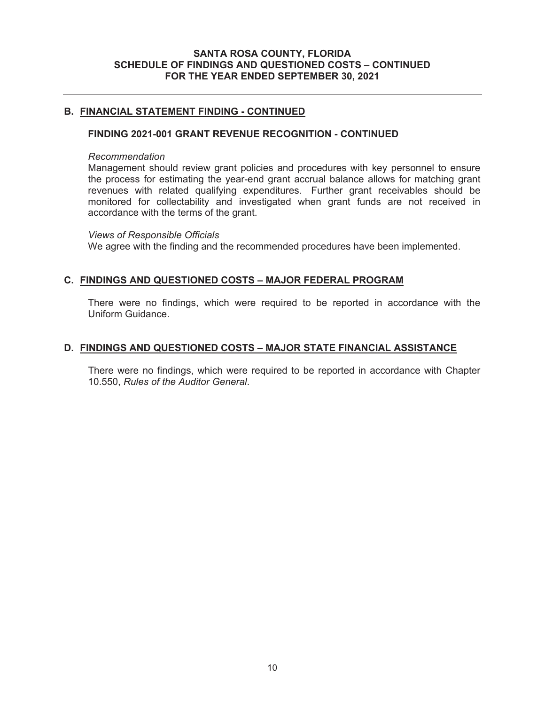#### **SANTA ROSA COUNTY, FLORIDA SCHEDULE OF FINDINGS AND QUESTIONED COSTS – CONTINUED FOR THE YEAR ENDED SEPTEMBER 30, 2021**

#### **B. FINANCIAL STATEMENT FINDING - CONTINUED**

#### **FINDING 2021-001 GRANT REVENUE RECOGNITION - CONTINUED**

#### *Recommendation*

Management should review grant policies and procedures with key personnel to ensure the process for estimating the year-end grant accrual balance allows for matching grant revenues with related qualifying expenditures. Further grant receivables should be monitored for collectability and investigated when grant funds are not received in accordance with the terms of the grant.

*Views of Responsible Officials*  We agree with the finding and the recommended procedures have been implemented.

#### **C. FINDINGS AND QUESTIONED COSTS – MAJOR FEDERAL PROGRAM**

There were no findings, which were required to be reported in accordance with the Uniform Guidance.

#### **D. FINDINGS AND QUESTIONED COSTS – MAJOR STATE FINANCIAL ASSISTANCE**

There were no findings, which were required to be reported in accordance with Chapter 10.550, *Rules of the Auditor General*.